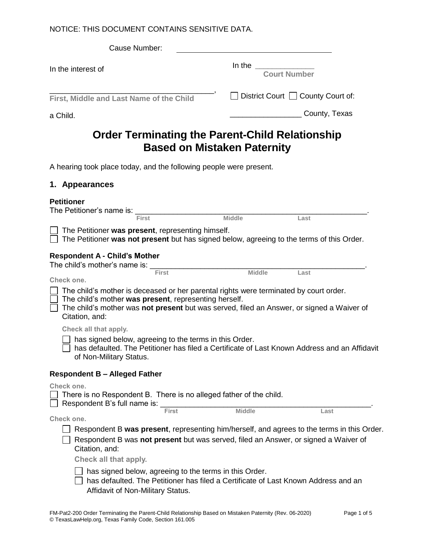#### NOTICE: THIS DOCUMENT CONTAINS SENSITIVE DATA.

| Cause Number:                                                                                                                                                                                                                                                 |                                    |                                     |
|---------------------------------------------------------------------------------------------------------------------------------------------------------------------------------------------------------------------------------------------------------------|------------------------------------|-------------------------------------|
| In the interest of                                                                                                                                                                                                                                            | In the Court Number                |                                     |
| First, Middle and Last Name of the Child                                                                                                                                                                                                                      |                                    | □ District Court □ County Court of: |
| a Child.                                                                                                                                                                                                                                                      |                                    | _ County, Texas                     |
| Order Terminating the Parent-Child Relationship                                                                                                                                                                                                               | <b>Based on Mistaken Paternity</b> |                                     |
| A hearing took place today, and the following people were present.                                                                                                                                                                                            |                                    |                                     |
| 1. Appearances                                                                                                                                                                                                                                                |                                    |                                     |
| <b>Petitioner</b><br><b>First</b>                                                                                                                                                                                                                             | <b>Middle</b>                      | Last                                |
| The Petitioner was present, representing himself.<br>The Petitioner was not present but has signed below, agreeing to the terms of this Order.                                                                                                                |                                    |                                     |
| <b>Respondent A - Child's Mother</b><br>The child's mother's name is: $\frac{F_{\text{first}}}{F_{\text{first}}}$                                                                                                                                             |                                    |                                     |
| Check one.                                                                                                                                                                                                                                                    |                                    | Last                                |
| The child's mother is deceased or her parental rights were terminated by court order.<br>The child's mother was present, representing herself.<br>The child's mother was not present but was served, filed an Answer, or signed a Waiver of<br>Citation, and: |                                    |                                     |
| Check all that apply.<br>has signed below, agreeing to the terms in this Order.<br>has defaulted. The Petitioner has filed a Certificate of Last Known Address and an Affidavit<br>of Non-Military Status.                                                    |                                    |                                     |
| <b>Respondent B - Alleged Father</b>                                                                                                                                                                                                                          |                                    |                                     |
| Check one.<br>There is no Respondent B. There is no alleged father of the child.<br>Respondent B's full name is:                                                                                                                                              |                                    |                                     |
| <b>First</b><br>Check one.                                                                                                                                                                                                                                    | <b>Middle</b>                      | Last                                |
| Respondent B was present, representing him/herself, and agrees to the terms in this Order.<br>Respondent B was not present but was served, filed an Answer, or signed a Waiver of<br>Citation, and:                                                           |                                    |                                     |
| Check all that apply.<br>has signed below, agreeing to the terms in this Order.                                                                                                                                                                               |                                    |                                     |
|                                                                                                                                                                                                                                                               |                                    |                                     |

□ has defaulted. The Petitioner has filed a Certificate of Last Known Address and an Affidavit of Non-Military Status.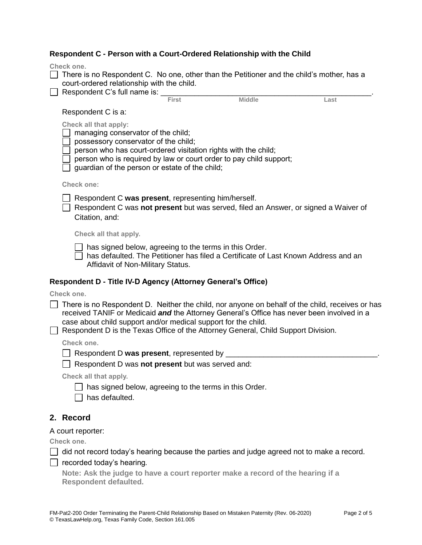| Respondent C - Person with a Court-Ordered Relationship with the Child |
|------------------------------------------------------------------------|
|------------------------------------------------------------------------|

| Respondent C - Person with a Court-Ordered Relationship with the Child                                                                                                                                                                           |                                                        |                                                                                     |                                                                                                 |
|--------------------------------------------------------------------------------------------------------------------------------------------------------------------------------------------------------------------------------------------------|--------------------------------------------------------|-------------------------------------------------------------------------------------|-------------------------------------------------------------------------------------------------|
| Check one.<br>There is no Respondent C. No one, other than the Petitioner and the child's mother, has a<br>court-ordered relationship with the child.                                                                                            |                                                        |                                                                                     |                                                                                                 |
| Respondent C's full name is:                                                                                                                                                                                                                     |                                                        |                                                                                     |                                                                                                 |
|                                                                                                                                                                                                                                                  |                                                        | <b>Middle</b>                                                                       | Last                                                                                            |
| Respondent C is a:                                                                                                                                                                                                                               |                                                        |                                                                                     |                                                                                                 |
| <b>Check all that apply:</b><br>managing conservator of the child;<br>possessory conservator of the child;<br>person who has court-ordered visitation rights with the child;<br>guardian of the person or estate of the child;                   |                                                        | person who is required by law or court order to pay child support;                  |                                                                                                 |
| <b>Check one:</b>                                                                                                                                                                                                                                |                                                        |                                                                                     |                                                                                                 |
| Respondent C was present, representing him/herself.<br>Citation, and:                                                                                                                                                                            |                                                        | Respondent C was not present but was served, filed an Answer, or signed a Waiver of |                                                                                                 |
| Check all that apply.                                                                                                                                                                                                                            |                                                        |                                                                                     |                                                                                                 |
| Affidavit of Non-Military Status.                                                                                                                                                                                                                | has signed below, agreeing to the terms in this Order. | has defaulted. The Petitioner has filed a Certificate of Last Known Address and an  |                                                                                                 |
| Respondent D - Title IV-D Agency (Attorney General's Office)                                                                                                                                                                                     |                                                        |                                                                                     |                                                                                                 |
| Check one.                                                                                                                                                                                                                                       |                                                        |                                                                                     |                                                                                                 |
| received TANIF or Medicaid and the Attorney General's Office has never been involved in a<br>case about child support and/or medical support for the child.<br>Respondent D is the Texas Office of the Attorney General, Child Support Division. |                                                        |                                                                                     | There is no Respondent D. Neither the child, nor anyone on behalf of the child, receives or has |
| Check one.                                                                                                                                                                                                                                       |                                                        |                                                                                     |                                                                                                 |
| □ Respondent D was present, represented by ______                                                                                                                                                                                                |                                                        |                                                                                     |                                                                                                 |
| Respondent D was not present but was served and:                                                                                                                                                                                                 |                                                        |                                                                                     |                                                                                                 |
| Check all that apply.                                                                                                                                                                                                                            |                                                        |                                                                                     |                                                                                                 |
| has defaulted.                                                                                                                                                                                                                                   | has signed below, agreeing to the terms in this Order. |                                                                                     |                                                                                                 |
| 2. Record                                                                                                                                                                                                                                        |                                                        |                                                                                     |                                                                                                 |
| A court reporter:                                                                                                                                                                                                                                |                                                        |                                                                                     |                                                                                                 |
| Check one.                                                                                                                                                                                                                                       |                                                        |                                                                                     |                                                                                                 |
| did not record today's hearing because the parties and judge agreed not to make a record.                                                                                                                                                        |                                                        |                                                                                     |                                                                                                 |

recorded today's hearing*.*

**Note: Ask the judge to have a court reporter make a record of the hearing if a Respondent defaulted.**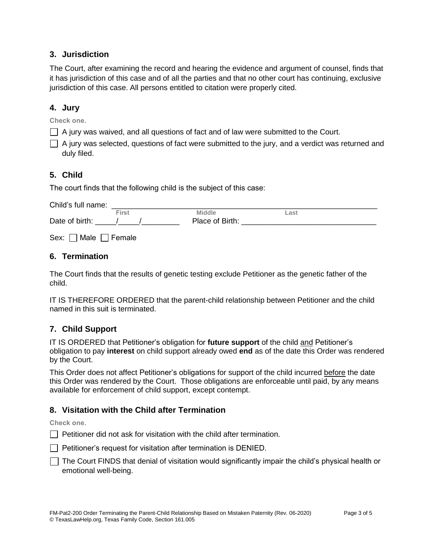### **3. Jurisdiction**

The Court, after examining the record and hearing the evidence and argument of counsel, finds that it has jurisdiction of this case and of all the parties and that no other court has continuing, exclusive jurisdiction of this case. All persons entitled to citation were properly cited.

# **4. Jury**

**Check one.**

 $\Box$  A jury was waived, and all questions of fact and of law were submitted to the Court.

 $\Box$  A jury was selected, questions of fact were submitted to the jury, and a verdict was returned and duly filed.

## **5. Child**

The court finds that the following child is the subject of this case:

Child's full name: \_\_\_\_\_\_\_\_\_\_\_\_\_\_\_\_\_\_\_\_\_\_\_\_\_\_\_\_\_\_\_\_\_\_\_\_\_\_\_\_\_\_\_\_\_\_\_\_\_\_\_\_\_\_\_\_\_\_\_\_\_\_\_ **Middle** Date of birth: The Macket of Birth: The Macket of Birth:  $\sim$  1. The Place of Birth:

Sex:  $\Box$  Male  $\Box$  Female

### **6. Termination**

The Court finds that the results of genetic testing exclude Petitioner as the genetic father of the child.

IT IS THEREFORE ORDERED that the parent-child relationship between Petitioner and the child named in this suit is terminated.

### **7. Child Support**

IT IS ORDERED that Petitioner's obligation for **future support** of the child and Petitioner's obligation to pay **interest** on child support already owed **end** as of the date this Order was rendered by the Court.

This Order does not affect Petitioner's obligations for support of the child incurred before the date this Order was rendered by the Court. Those obligations are enforceable until paid, by any means available for enforcement of child support, except contempt.

### **8. Visitation with the Child after Termination**

**Check one.**

 $\Box$  Petitioner did not ask for visitation with the child after termination.

- $\Box$  Petitioner's request for visitation after termination is DENIED.
- $\Box$  The Court FINDS that denial of visitation would significantly impair the child's physical health or emotional well-being.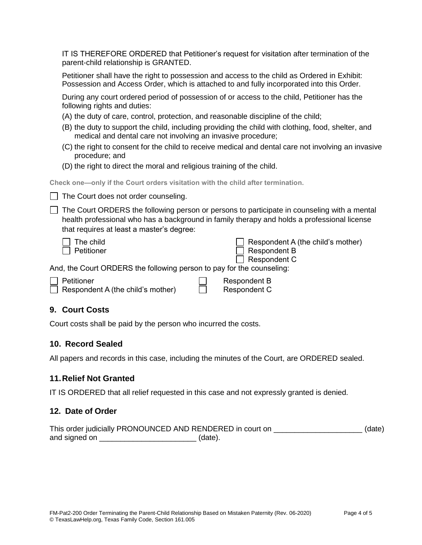IT IS THEREFORE ORDERED that Petitioner's request for visitation after termination of the parent-child relationship is GRANTED.

Petitioner shall have the right to possession and access to the child as Ordered in Exhibit: Possession and Access Order, which is attached to and fully incorporated into this Order.

During any court ordered period of possession of or access to the child, Petitioner has the following rights and duties:

- (A) the duty of care, control, protection, and reasonable discipline of the child;
- (B) the duty to support the child, including providing the child with clothing, food, shelter, and medical and dental care not involving an invasive procedure;
- (C) the right to consent for the child to receive medical and dental care not involving an invasive procedure; and
- (D) the right to direct the moral and religious training of the child.

**Check one—only if the Court orders visitation with the child after termination.**

 $\Box$  The Court does not order counseling.

 $\Box$  The Court ORDERS the following person or persons to participate in counseling with a mental health professional who has a background in family therapy and holds a professional license that requires at least a master's degree:

| 1 | The child   |
|---|-------------|
|   | ]Petitioner |

| Respondent A (the child's mother) |
|-----------------------------------|
| $\Box$ Respondent B               |
| $\Box$ Respondent C               |

And, the Court ORDERS the following person to pay for the counseling:

| $\top$ Petitioner                        | Respondent B |
|------------------------------------------|--------------|
| $\Box$ Respondent A (the child's mother) | Respondent C |

### **9. Court Costs**

Court costs shall be paid by the person who incurred the costs.

#### **10. Record Sealed**

All papers and records in this case, including the minutes of the Court, are ORDERED sealed.

#### **11.Relief Not Granted**

IT IS ORDERED that all relief requested in this case and not expressly granted is denied.

#### **12. Date of Order**

This order judicially PRONOUNCED AND RENDERED in court on  $(date)$ and signed on \_\_\_\_\_\_\_\_\_\_\_\_\_\_\_\_\_\_\_\_\_\_\_\_\_\_\_\_\_\_\_(date).